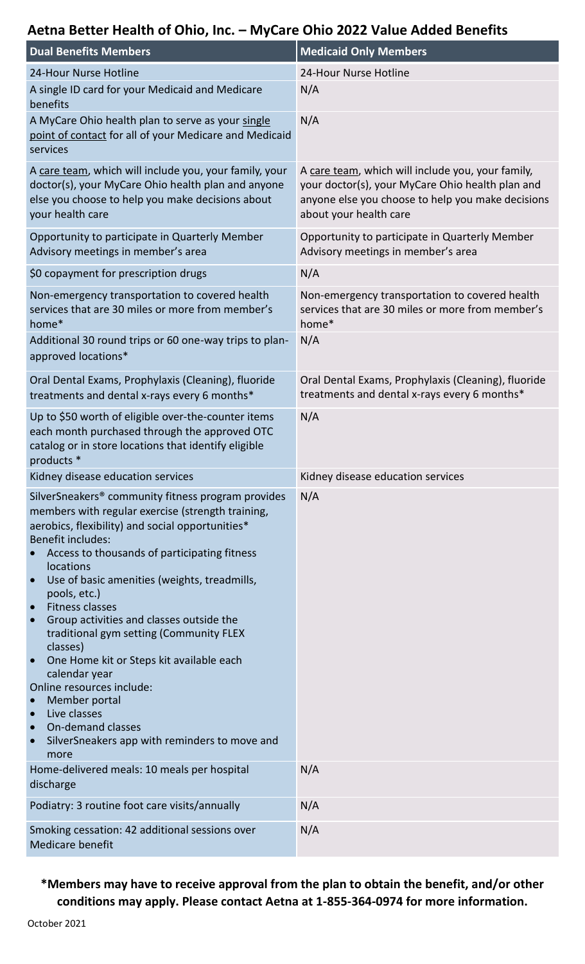# **Aetna Better Health of Ohio, Inc. – MyCare Ohio 2022 Value Added Benefits**

| <b>Dual Benefits Members</b>                                                                                                                                                                                                                                                                                                                                                                                                                                                                                                                                                                                                                                                                                                                   | <b>Medicaid Only Members</b>                                                                                                                                                         |
|------------------------------------------------------------------------------------------------------------------------------------------------------------------------------------------------------------------------------------------------------------------------------------------------------------------------------------------------------------------------------------------------------------------------------------------------------------------------------------------------------------------------------------------------------------------------------------------------------------------------------------------------------------------------------------------------------------------------------------------------|--------------------------------------------------------------------------------------------------------------------------------------------------------------------------------------|
| 24-Hour Nurse Hotline                                                                                                                                                                                                                                                                                                                                                                                                                                                                                                                                                                                                                                                                                                                          | 24-Hour Nurse Hotline                                                                                                                                                                |
| A single ID card for your Medicaid and Medicare<br>benefits                                                                                                                                                                                                                                                                                                                                                                                                                                                                                                                                                                                                                                                                                    | N/A                                                                                                                                                                                  |
| A MyCare Ohio health plan to serve as your single<br>point of contact for all of your Medicare and Medicaid<br>services                                                                                                                                                                                                                                                                                                                                                                                                                                                                                                                                                                                                                        | N/A                                                                                                                                                                                  |
| A care team, which will include you, your family, your<br>doctor(s), your MyCare Ohio health plan and anyone<br>else you choose to help you make decisions about<br>your health care                                                                                                                                                                                                                                                                                                                                                                                                                                                                                                                                                           | A care team, which will include you, your family,<br>your doctor(s), your MyCare Ohio health plan and<br>anyone else you choose to help you make decisions<br>about your health care |
| Opportunity to participate in Quarterly Member<br>Advisory meetings in member's area                                                                                                                                                                                                                                                                                                                                                                                                                                                                                                                                                                                                                                                           | Opportunity to participate in Quarterly Member<br>Advisory meetings in member's area                                                                                                 |
| \$0 copayment for prescription drugs                                                                                                                                                                                                                                                                                                                                                                                                                                                                                                                                                                                                                                                                                                           | N/A                                                                                                                                                                                  |
| Non-emergency transportation to covered health<br>services that are 30 miles or more from member's<br>home*                                                                                                                                                                                                                                                                                                                                                                                                                                                                                                                                                                                                                                    | Non-emergency transportation to covered health<br>services that are 30 miles or more from member's<br>home*                                                                          |
| Additional 30 round trips or 60 one-way trips to plan-<br>approved locations*                                                                                                                                                                                                                                                                                                                                                                                                                                                                                                                                                                                                                                                                  | N/A                                                                                                                                                                                  |
| Oral Dental Exams, Prophylaxis (Cleaning), fluoride<br>treatments and dental x-rays every 6 months*                                                                                                                                                                                                                                                                                                                                                                                                                                                                                                                                                                                                                                            | Oral Dental Exams, Prophylaxis (Cleaning), fluoride<br>treatments and dental x-rays every 6 months*                                                                                  |
| Up to \$50 worth of eligible over-the-counter items<br>each month purchased through the approved OTC<br>catalog or in store locations that identify eligible<br>products *                                                                                                                                                                                                                                                                                                                                                                                                                                                                                                                                                                     | N/A                                                                                                                                                                                  |
| Kidney disease education services                                                                                                                                                                                                                                                                                                                                                                                                                                                                                                                                                                                                                                                                                                              | Kidney disease education services                                                                                                                                                    |
| SilverSneakers <sup>®</sup> community fitness program provides<br>members with regular exercise (strength training,<br>aerobics, flexibility) and social opportunities*<br><b>Benefit includes:</b><br>Access to thousands of participating fitness<br>locations<br>Use of basic amenities (weights, treadmills,<br>$\bullet$<br>pools, etc.)<br><b>Fitness classes</b><br>$\bullet$<br>Group activities and classes outside the<br>$\bullet$<br>traditional gym setting (Community FLEX<br>classes)<br>One Home kit or Steps kit available each<br>$\bullet$<br>calendar year<br>Online resources include:<br>Member portal<br>Live classes<br><b>On-demand classes</b><br>$\bullet$<br>SilverSneakers app with reminders to move and<br>more | N/A                                                                                                                                                                                  |
| Home-delivered meals: 10 meals per hospital<br>discharge                                                                                                                                                                                                                                                                                                                                                                                                                                                                                                                                                                                                                                                                                       | N/A                                                                                                                                                                                  |
| Podiatry: 3 routine foot care visits/annually                                                                                                                                                                                                                                                                                                                                                                                                                                                                                                                                                                                                                                                                                                  | N/A                                                                                                                                                                                  |
| Smoking cessation: 42 additional sessions over<br><b>Medicare benefit</b>                                                                                                                                                                                                                                                                                                                                                                                                                                                                                                                                                                                                                                                                      | N/A                                                                                                                                                                                  |

## **\*Members may have to receive approval from the plan to obtain the benefit, and/or other conditions may apply. Please contact Aetna at 1-855-364-0974 for more information.**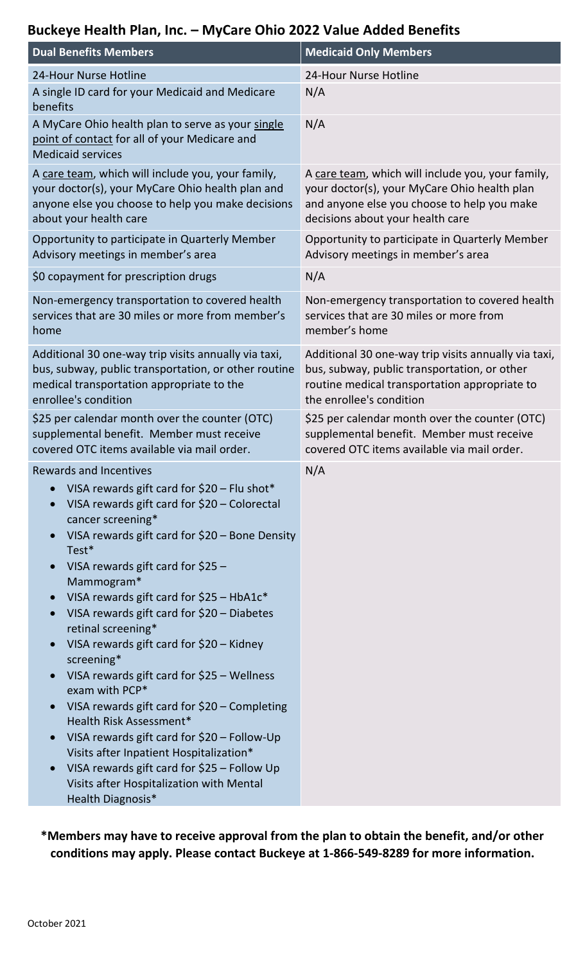### **Buckeye Health Plan, Inc. – MyCare Ohio 2022 Value Added Benefits**

| <b>Dual Benefits Members</b>                                                                                                                                                                                                                                                                                                                                                                                                                                                                                                                                                                                                                                                                                                                                                                                   | <b>Medicaid Only Members</b>                                                                                                                                                         |
|----------------------------------------------------------------------------------------------------------------------------------------------------------------------------------------------------------------------------------------------------------------------------------------------------------------------------------------------------------------------------------------------------------------------------------------------------------------------------------------------------------------------------------------------------------------------------------------------------------------------------------------------------------------------------------------------------------------------------------------------------------------------------------------------------------------|--------------------------------------------------------------------------------------------------------------------------------------------------------------------------------------|
| 24-Hour Nurse Hotline                                                                                                                                                                                                                                                                                                                                                                                                                                                                                                                                                                                                                                                                                                                                                                                          | 24-Hour Nurse Hotline                                                                                                                                                                |
| A single ID card for your Medicaid and Medicare<br>benefits                                                                                                                                                                                                                                                                                                                                                                                                                                                                                                                                                                                                                                                                                                                                                    | N/A                                                                                                                                                                                  |
| A MyCare Ohio health plan to serve as your single<br>point of contact for all of your Medicare and<br><b>Medicaid services</b>                                                                                                                                                                                                                                                                                                                                                                                                                                                                                                                                                                                                                                                                                 | N/A                                                                                                                                                                                  |
| A care team, which will include you, your family,<br>your doctor(s), your MyCare Ohio health plan and<br>anyone else you choose to help you make decisions<br>about your health care                                                                                                                                                                                                                                                                                                                                                                                                                                                                                                                                                                                                                           | A care team, which will include you, your family,<br>your doctor(s), your MyCare Ohio health plan<br>and anyone else you choose to help you make<br>decisions about your health care |
| Opportunity to participate in Quarterly Member<br>Advisory meetings in member's area                                                                                                                                                                                                                                                                                                                                                                                                                                                                                                                                                                                                                                                                                                                           | Opportunity to participate in Quarterly Member<br>Advisory meetings in member's area                                                                                                 |
| \$0 copayment for prescription drugs                                                                                                                                                                                                                                                                                                                                                                                                                                                                                                                                                                                                                                                                                                                                                                           | N/A                                                                                                                                                                                  |
| Non-emergency transportation to covered health<br>services that are 30 miles or more from member's<br>home                                                                                                                                                                                                                                                                                                                                                                                                                                                                                                                                                                                                                                                                                                     | Non-emergency transportation to covered health<br>services that are 30 miles or more from<br>member's home                                                                           |
| Additional 30 one-way trip visits annually via taxi,<br>bus, subway, public transportation, or other routine<br>medical transportation appropriate to the<br>enrollee's condition                                                                                                                                                                                                                                                                                                                                                                                                                                                                                                                                                                                                                              | Additional 30 one-way trip visits annually via taxi,<br>bus, subway, public transportation, or other<br>routine medical transportation appropriate to<br>the enrollee's condition    |
| \$25 per calendar month over the counter (OTC)<br>supplemental benefit. Member must receive<br>covered OTC items available via mail order.                                                                                                                                                                                                                                                                                                                                                                                                                                                                                                                                                                                                                                                                     | \$25 per calendar month over the counter (OTC)<br>supplemental benefit. Member must receive<br>covered OTC items available via mail order.                                           |
| <b>Rewards and Incentives</b><br>VISA rewards gift card for $$20 -$ Flu shot*<br>$\bullet$<br>VISA rewards gift card for \$20 - Colorectal<br>cancer screening*<br>VISA rewards gift card for \$20 - Bone Density<br>Test*<br>VISA rewards gift card for $$25$ -<br>Mammogram*<br>VISA rewards gift card for $$25 - HbA1c*$<br>VISA rewards gift card for \$20 - Diabetes<br>retinal screening*<br>VISA rewards gift card for \$20 - Kidney<br>screening*<br>VISA rewards gift card for \$25 – Wellness<br>exam with PCP*<br>VISA rewards gift card for \$20 - Completing<br>Health Risk Assessment*<br>VISA rewards gift card for \$20 - Follow-Up<br>Visits after Inpatient Hospitalization*<br>VISA rewards gift card for \$25 - Follow Up<br>Visits after Hospitalization with Mental<br>Health Diagnosis* | N/A                                                                                                                                                                                  |

**\*Members may have to receive approval from the plan to obtain the benefit, and/or other conditions may apply. Please contact Buckeye at 1-866-549-8289 for more information.**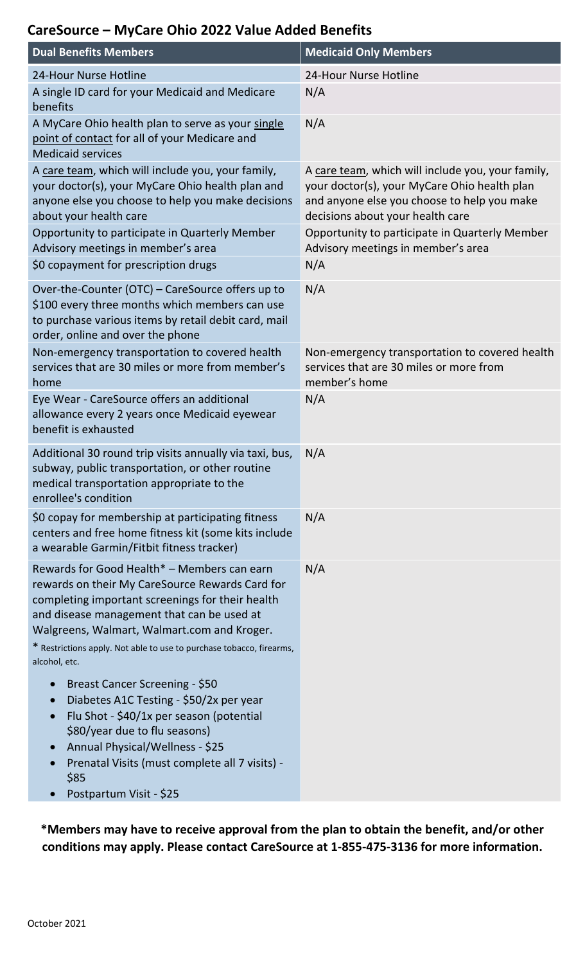#### **CareSource – MyCare Ohio 2022 Value Added Benefits**

| <b>Dual Benefits Members</b>                                                                                                                                                                                                                                                                                                                    | <b>Medicaid Only Members</b>                                                                                                                                                         |
|-------------------------------------------------------------------------------------------------------------------------------------------------------------------------------------------------------------------------------------------------------------------------------------------------------------------------------------------------|--------------------------------------------------------------------------------------------------------------------------------------------------------------------------------------|
| 24-Hour Nurse Hotline                                                                                                                                                                                                                                                                                                                           | 24-Hour Nurse Hotline                                                                                                                                                                |
| A single ID card for your Medicaid and Medicare<br>benefits                                                                                                                                                                                                                                                                                     | N/A                                                                                                                                                                                  |
| A MyCare Ohio health plan to serve as your single<br>point of contact for all of your Medicare and<br><b>Medicaid services</b>                                                                                                                                                                                                                  | N/A                                                                                                                                                                                  |
| A care team, which will include you, your family,<br>your doctor(s), your MyCare Ohio health plan and<br>anyone else you choose to help you make decisions<br>about your health care                                                                                                                                                            | A care team, which will include you, your family,<br>your doctor(s), your MyCare Ohio health plan<br>and anyone else you choose to help you make<br>decisions about your health care |
| Opportunity to participate in Quarterly Member<br>Advisory meetings in member's area                                                                                                                                                                                                                                                            | Opportunity to participate in Quarterly Member<br>Advisory meetings in member's area                                                                                                 |
| \$0 copayment for prescription drugs                                                                                                                                                                                                                                                                                                            | N/A                                                                                                                                                                                  |
| Over-the-Counter (OTC) - CareSource offers up to<br>\$100 every three months which members can use<br>to purchase various items by retail debit card, mail<br>order, online and over the phone                                                                                                                                                  | N/A                                                                                                                                                                                  |
| Non-emergency transportation to covered health<br>services that are 30 miles or more from member's<br>home                                                                                                                                                                                                                                      | Non-emergency transportation to covered health<br>services that are 30 miles or more from<br>member's home                                                                           |
| Eye Wear - CareSource offers an additional<br>allowance every 2 years once Medicaid eyewear<br>benefit is exhausted                                                                                                                                                                                                                             | N/A                                                                                                                                                                                  |
| Additional 30 round trip visits annually via taxi, bus,<br>subway, public transportation, or other routine<br>medical transportation appropriate to the<br>enrollee's condition                                                                                                                                                                 | N/A                                                                                                                                                                                  |
| \$0 copay for membership at participating fitness<br>centers and free home fitness kit (some kits include<br>a wearable Garmin/Fitbit fitness tracker)                                                                                                                                                                                          | N/A                                                                                                                                                                                  |
| Rewards for Good Health* - Members can earn<br>rewards on their My CareSource Rewards Card for<br>completing important screenings for their health<br>and disease management that can be used at<br>Walgreens, Walmart, Walmart.com and Kroger.<br>* Restrictions apply. Not able to use to purchase tobacco, firearms,<br>alcohol, etc.        | N/A                                                                                                                                                                                  |
| Breast Cancer Screening - \$50<br>$\bullet$<br>Diabetes A1C Testing - \$50/2x per year<br>$\bullet$<br>Flu Shot - \$40/1x per season (potential<br>$\bullet$<br>\$80/year due to flu seasons)<br>Annual Physical/Wellness - \$25<br>$\bullet$<br>Prenatal Visits (must complete all 7 visits) -<br>$\bullet$<br>\$85<br>Postpartum Visit - \$25 |                                                                                                                                                                                      |

**\*Members may have to receive approval from the plan to obtain the benefit, and/or other conditions may apply. Please contact CareSource at 1-855-475-3136 for more information.**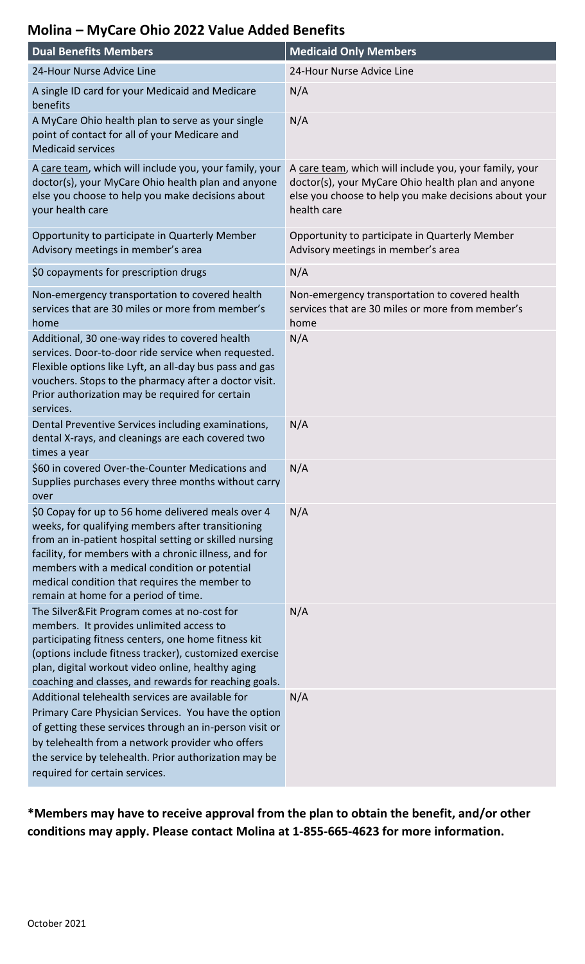## **Molina – MyCare Ohio 2022 Value Added Benefits**

| <b>Dual Benefits Members</b>                                                                                                                                                                                                                                                                                                                                         | <b>Medicaid Only Members</b>                                                                                                                                                         |
|----------------------------------------------------------------------------------------------------------------------------------------------------------------------------------------------------------------------------------------------------------------------------------------------------------------------------------------------------------------------|--------------------------------------------------------------------------------------------------------------------------------------------------------------------------------------|
| 24-Hour Nurse Advice Line                                                                                                                                                                                                                                                                                                                                            | 24-Hour Nurse Advice Line                                                                                                                                                            |
| A single ID card for your Medicaid and Medicare<br>benefits                                                                                                                                                                                                                                                                                                          | N/A                                                                                                                                                                                  |
| A MyCare Ohio health plan to serve as your single<br>point of contact for all of your Medicare and<br><b>Medicaid services</b>                                                                                                                                                                                                                                       | N/A                                                                                                                                                                                  |
| A care team, which will include you, your family, your<br>doctor(s), your MyCare Ohio health plan and anyone<br>else you choose to help you make decisions about<br>your health care                                                                                                                                                                                 | A care team, which will include you, your family, your<br>doctor(s), your MyCare Ohio health plan and anyone<br>else you choose to help you make decisions about your<br>health care |
| Opportunity to participate in Quarterly Member<br>Advisory meetings in member's area                                                                                                                                                                                                                                                                                 | Opportunity to participate in Quarterly Member<br>Advisory meetings in member's area                                                                                                 |
| \$0 copayments for prescription drugs                                                                                                                                                                                                                                                                                                                                | N/A                                                                                                                                                                                  |
| Non-emergency transportation to covered health<br>services that are 30 miles or more from member's<br>home                                                                                                                                                                                                                                                           | Non-emergency transportation to covered health<br>services that are 30 miles or more from member's<br>home                                                                           |
| Additional, 30 one-way rides to covered health<br>services. Door-to-door ride service when requested.<br>Flexible options like Lyft, an all-day bus pass and gas<br>vouchers. Stops to the pharmacy after a doctor visit.<br>Prior authorization may be required for certain<br>services.                                                                            | N/A                                                                                                                                                                                  |
| Dental Preventive Services including examinations,<br>dental X-rays, and cleanings are each covered two<br>times a year                                                                                                                                                                                                                                              | N/A                                                                                                                                                                                  |
| \$60 in covered Over-the-Counter Medications and<br>Supplies purchases every three months without carry<br>over                                                                                                                                                                                                                                                      | N/A                                                                                                                                                                                  |
| \$0 Copay for up to 56 home delivered meals over 4<br>weeks, for qualifying members after transitioning<br>from an in-patient hospital setting or skilled nursing<br>facility, for members with a chronic illness, and for<br>members with a medical condition or potential<br>medical condition that requires the member to<br>remain at home for a period of time. | N/A                                                                                                                                                                                  |
| The Silver&Fit Program comes at no-cost for<br>members. It provides unlimited access to<br>participating fitness centers, one home fitness kit<br>(options include fitness tracker), customized exercise<br>plan, digital workout video online, healthy aging<br>coaching and classes, and rewards for reaching goals.                                               | N/A                                                                                                                                                                                  |
| Additional telehealth services are available for<br>Primary Care Physician Services. You have the option<br>of getting these services through an in-person visit or<br>by telehealth from a network provider who offers<br>the service by telehealth. Prior authorization may be<br>required for certain services.                                                   | N/A                                                                                                                                                                                  |

**\*Members may have to receive approval from the plan to obtain the benefit, and/or other conditions may apply. Please contact Molina at 1-855-665-4623 for more information.**